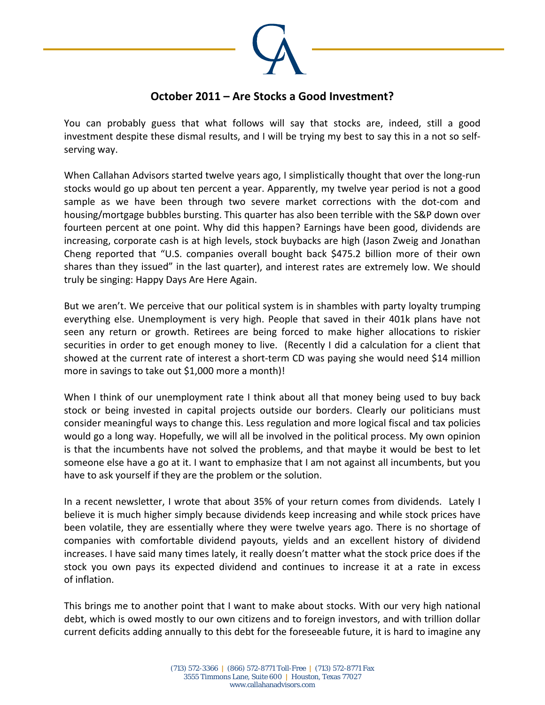

## **October 2011 – Are Stocks a Good Investment?**

You can probably guess that what follows will say that stocks are, indeed, still a good investment despite these dismal results, and I will be trying my best to say this in a not so self‐ serving way.

When Callahan Advisors started twelve years ago, I simplistically thought that over the long-run stocks would go up about ten percent a year. Apparently, my twelve year period is not a good sample as we have been through two severe market corrections with the dot-com and housing/mortgage bubbles bursting. This quarter has also been terrible with the S&P down over fourteen percent at one point. Why did this happen? Earnings have been good, dividends are increasing, corporate cash is at high levels, stock buybacks are high (Jason Zweig and Jonathan Cheng reported that "U.S. companies overall bought back \$475.2 billion more of their own shares than they issued" in the last quarter), and interest rates are extremely low. We should truly be singing: Happy Days Are Here Again.

But we aren't. We perceive that our political system is in shambles with party loyalty trumping everything else. Unemployment is very high. People that saved in their 401k plans have not seen any return or growth. Retirees are being forced to make higher allocations to riskier securities in order to get enough money to live. (Recently I did a calculation for a client that showed at the current rate of interest a short-term CD was paying she would need \$14 million more in savings to take out \$1,000 more a month)!

When I think of our unemployment rate I think about all that money being used to buy back stock or being invested in capital projects outside our borders. Clearly our politicians must consider meaningful ways to change this. Less regulation and more logical fiscal and tax policies would go a long way. Hopefully, we will all be involved in the political process. My own opinion is that the incumbents have not solved the problems, and that maybe it would be best to let someone else have a go at it. I want to emphasize that I am not against all incumbents, but you have to ask yourself if they are the problem or the solution.

In a recent newsletter, I wrote that about 35% of your return comes from dividends. Lately I believe it is much higher simply because dividends keep increasing and while stock prices have been volatile, they are essentially where they were twelve years ago. There is no shortage of companies with comfortable dividend payouts, yields and an excellent history of dividend increases. I have said many times lately, it really doesn't matter what the stock price does if the stock you own pays its expected dividend and continues to increase it at a rate in excess of inflation.

This brings me to another point that I want to make about stocks. With our very high national debt, which is owed mostly to our own citizens and to foreign investors, and with trillion dollar current deficits adding annually to this debt for the foreseeable future, it is hard to imagine any